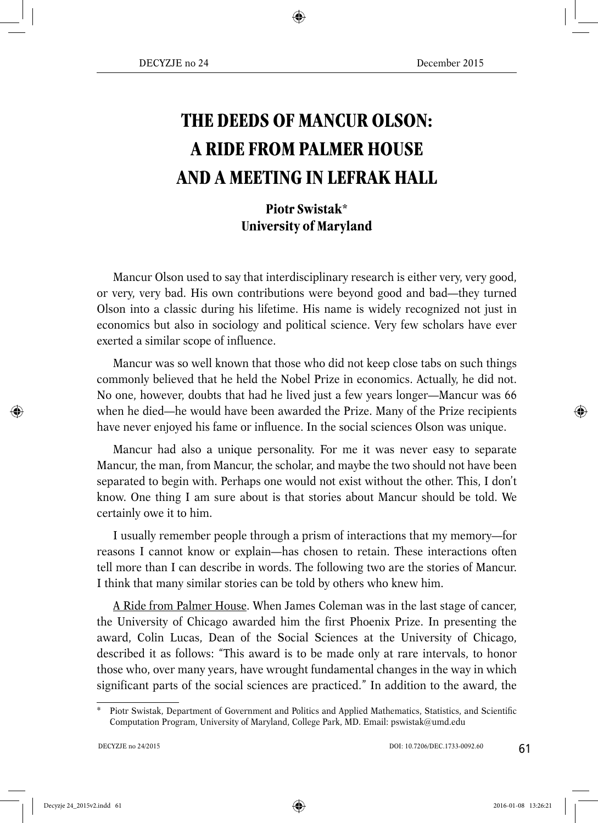## **THE DEEDS OF MANCUR OLSON: A RIDE FROM PALMER HOUSE AND A MEETING IN LEFRAK HALL**

## **Piotr Swistak\* University of Maryland**

Mancur Olson used to say that interdisciplinary research is either very, very good, or very, very bad. His own contributions were beyond good and bad—they turned Olson into a classic during his lifetime. His name is widely recognized not just in economics but also in sociology and political science. Very few scholars have ever exerted a similar scope of influence.

Mancur was so well known that those who did not keep close tabs on such things commonly believed that he held the Nobel Prize in economics. Actually, he did not. No one, however, doubts that had he lived just a few years longer—Mancur was 66 when he died—he would have been awarded the Prize. Many of the Prize recipients have never enjoyed his fame or influence. In the social sciences Olson was unique.

Mancur had also a unique personality. For me it was never easy to separate Mancur, the man, from Mancur, the scholar, and maybe the two should not have been separated to begin with. Perhaps one would not exist without the other. This, I don't know. One thing I am sure about is that stories about Mancur should be told. We certainly owe it to him.

I usually remember people through a prism of interactions that my memory—for reasons I cannot know or explain—has chosen to retain. These interactions often tell more than I can describe in words. The following two are the stories of Mancur. I think that many similar stories can be told by others who knew him.

A Ride from Palmer House. When James Coleman was in the last stage of cancer, the University of Chicago awarded him the first Phoenix Prize. In presenting the award, Colin Lucas, Dean of the Social Sciences at the University of Chicago, described it as follows: "This award is to be made only at rare intervals, to honor those who, over many years, have wrought fundamental changes in the way in which significant parts of the social sciences are practiced." In addition to the award, the

Piotr Swistak, Department of Government and Politics and Applied Mathematics, Statistics, and Scientific Computation Program, University of Maryland, College Park, MD. Email: pswistak@umd.edu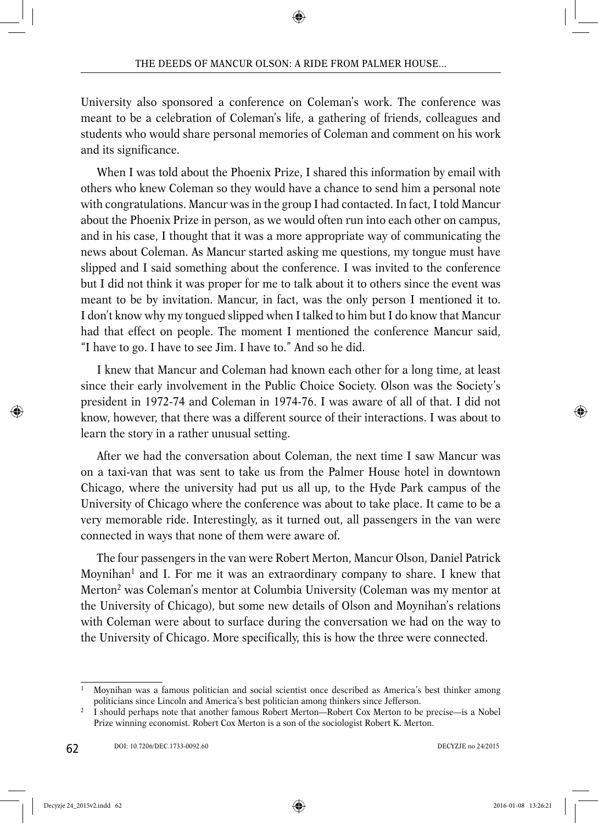University also sponsored a conference on Coleman's work. The conference was meant to be a celebration of Coleman's life, a gathering of friends, colleagues and students who would share personal memories of Coleman and comment on his work and its significance.

When I was told about the Phoenix Prize, I shared this information by email with others who knew Coleman so they would have a chance to send him a personal note with congratulations. Mancur was in the group I had contacted. In fact, I told Mancur about the Phoenix Prize in person, as we would often run into each other on campus, and in his case, I thought that it was a more appropriate way of communicating the news about Coleman. As Mancur started asking me questions, my tongue must have slipped and I said something about the conference. I was invited to the conference but I did not think it was proper for me to talk about it to others since the event was meant to be by invitation. Mancur, in fact, was the only person I mentioned it to. I don't know why my tongued slipped when I talked to him but I do know that Mancur had that effect on people. The moment I mentioned the conference Mancur said, "I have to go. I have to see Jim. I have to." And so he did.

I knew that Mancur and Coleman had known each other for a long time, at least since their early involvement in the Public Choice Society. Olson was the Society's president in 1972-74 and Coleman in 1974-76. I was aware of all of that. I did not know, however, that there was a different source of their interactions. I was about to learn the story in a rather unusual setting.

After we had the conversation about Coleman, the next time I saw Mancur was on a taxi-van that was sent to take us from the Palmer House hotel in downtown Chicago, where the university had put us all up, to the Hyde Park campus of the University of Chicago where the conference was about to take place. It came to be a very memorable ride. Interestingly, as it turned out, all passengers in the van were connected in ways that none of them were aware of.

The four passengers in the van were Robert Merton, Mancur Olson, Daniel Patrick Moynihan<sup>1</sup> and I. For me it was an extraordinary company to share. I knew that Merton<sup>2</sup> was Coleman's mentor at Columbia University (Coleman was my mentor at the University of Chicago), but some new details of Olson and Moynihan's relations with Coleman were about to surface during the conversation we had on the way to the University of Chicago. More specifically, this is how the three were connected.

<sup>1</sup> Moynihan was a famous politician and social scientist once described as America's best thinker among politicians since Lincoln and America's best politician among thinkers since Jefferson.

<sup>2</sup> I should perhaps note that another famous Robert Merton—Robert Cox Merton to be precise—is a Nobel Prize winning economist. Robert Cox Merton is a son of the sociologist Robert K. Merton.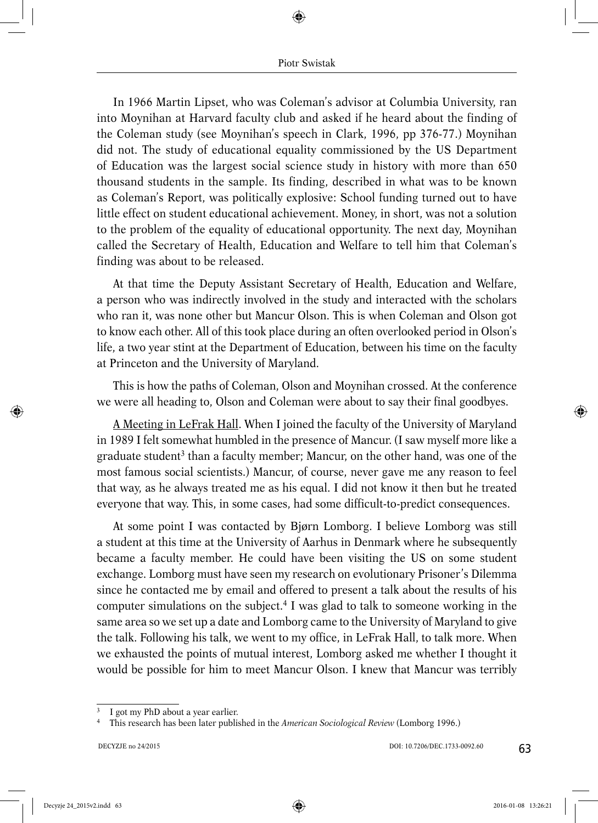In 1966 Martin Lipset, who was Coleman's advisor at Columbia University, ran into Moynihan at Harvard faculty club and asked if he heard about the finding of the Coleman study (see Moynihan's speech in Clark, 1996, pp 376-77.) Moynihan did not. The study of educational equality commissioned by the US Department of Education was the largest social science study in history with more than 650 thousand students in the sample. Its finding, described in what was to be known as Coleman's Report, was politically explosive: School funding turned out to have little effect on student educational achievement. Money, in short, was not a solution to the problem of the equality of educational opportunity. The next day, Moynihan called the Secretary of Health, Education and Welfare to tell him that Coleman's finding was about to be released.

At that time the Deputy Assistant Secretary of Health, Education and Welfare, a person who was indirectly involved in the study and interacted with the scholars who ran it, was none other but Mancur Olson. This is when Coleman and Olson got to know each other. All of this took place during an often overlooked period in Olson's life, a two year stint at the Department of Education, between his time on the faculty at Princeton and the University of Maryland.

This is how the paths of Coleman, Olson and Moynihan crossed. At the conference we were all heading to, Olson and Coleman were about to say their final goodbyes.

A Meeting in LeFrak Hall. When I joined the faculty of the University of Maryland in 1989 I felt somewhat humbled in the presence of Mancur. (I saw myself more like a graduate student<sup>3</sup> than a faculty member; Mancur, on the other hand, was one of the most famous social scientists.) Mancur, of course, never gave me any reason to feel that way, as he always treated me as his equal. I did not know it then but he treated everyone that way. This, in some cases, had some difficult-to-predict consequences.

At some point I was contacted by Bjørn Lomborg. I believe Lomborg was still a student at this time at the University of Aarhus in Denmark where he subsequently became a faculty member. He could have been visiting the US on some student exchange. Lomborg must have seen my research on evolutionary Prisoner's Dilemma since he contacted me by email and offered to present a talk about the results of his computer simulations on the subject.4 I was glad to talk to someone working in the same area so we set up a date and Lomborg came to the University of Maryland to give the talk. Following his talk, we went to my office, in LeFrak Hall, to talk more. When we exhausted the points of mutual interest, Lomborg asked me whether I thought it would be possible for him to meet Mancur Olson. I knew that Mancur was terribly

I got my PhD about a year earlier.

<sup>4</sup> This research has been later published in the *American Sociological Review* (Lomborg 1996.)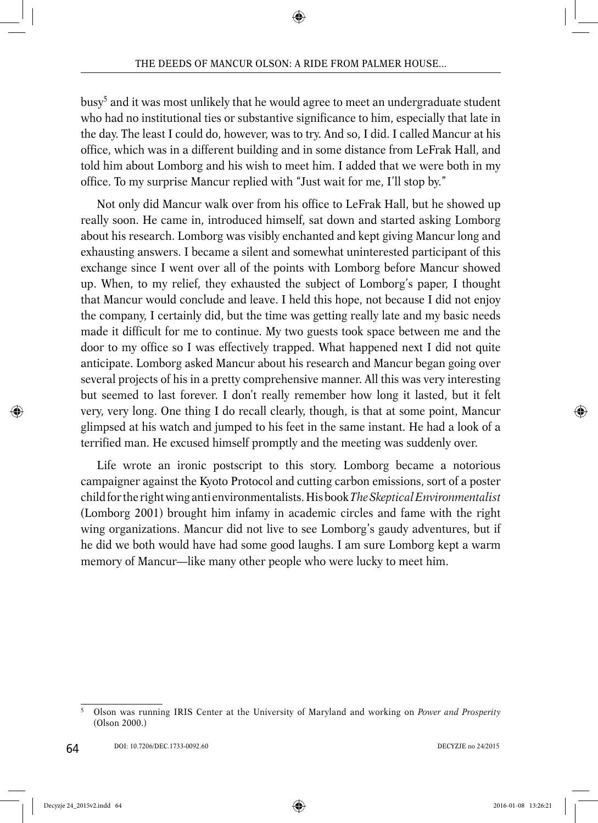busy5 and it was most unlikely that he would agree to meet an undergraduate student who had no institutional ties or substantive significance to him, especially that late in the day. The least I could do, however, was to try. And so, I did. I called Mancur at his office, which was in a different building and in some distance from LeFrak Hall, and told him about Lomborg and his wish to meet him. I added that we were both in my office. To my surprise Mancur replied with "Just wait for me, I'll stop by."

Not only did Mancur walk over from his office to LeFrak Hall, but he showed up really soon. He came in, introduced himself, sat down and started asking Lomborg about his research. Lomborg was visibly enchanted and kept giving Mancur long and exhausting answers. I became a silent and somewhat uninterested participant of this exchange since I went over all of the points with Lomborg before Mancur showed up. When, to my relief, they exhausted the subject of Lomborg's paper, I thought that Mancur would conclude and leave. I held this hope, not because I did not enjoy the company, I certainly did, but the time was getting really late and my basic needs made it difficult for me to continue. My two guests took space between me and the door to my office so I was effectively trapped. What happened next I did not quite anticipate. Lomborg asked Mancur about his research and Mancur began going over several projects of his in a pretty comprehensive manner. All this was very interesting but seemed to last forever. I don't really remember how long it lasted, but it felt very, very long. One thing I do recall clearly, though, is that at some point, Mancur glimpsed at his watch and jumped to his feet in the same instant. He had a look of a terrified man. He excused himself promptly and the meeting was suddenly over.

Life wrote an ironic postscript to this story. Lomborg became a notorious campaigner against the Kyoto Protocol and cutting carbon emissions, sort of a poster child for the right wing anti environmentalists. His book *The Skeptical Environmentalist* (Lomborg 2001) brought him infamy in academic circles and fame with the right wing organizations. Mancur did not live to see Lomborg's gaudy adventures, but if he did we both would have had some good laughs. I am sure Lomborg kept a warm memory of Mancur—like many other people who were lucky to meet him.

<sup>5</sup> Olson was running IRIS Center at the University of Maryland and working on *Power and Prosperity* (Olson 2000.)